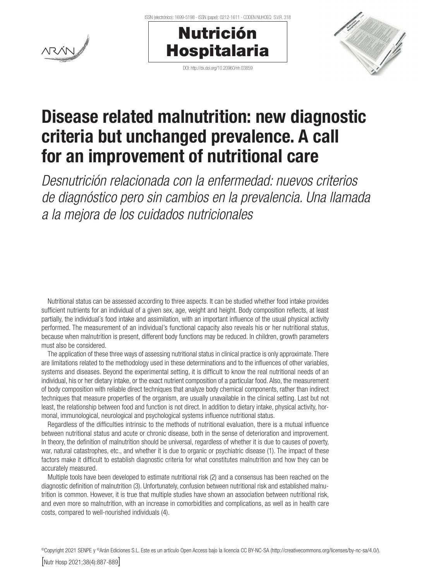



DOI: http://dx.doi.org/10.20960/nh.03859



# Disease related malnutrition: new diagnostic criteria but unchanged prevalence. A call for an improvement of nutritional care

*Desnutrición relacionada con la enfermedad: nuevos criterios de diagnóstico pero sin cambios en la prevalencia. Una llamada a la mejora de los cuidados nutricionales*

Nutritional status can be assessed according to three aspects. It can be studied whether food intake provides sufficient nutrients for an individual of a given sex, age, weight and height. Body composition reflects, at least partially, the individual´s food intake and assimilation, with an important influence of the usual physical activity performed. The measurement of an individual's functional capacity also reveals his or her nutritional status, because when malnutrition is present, different body functions may be reduced. In children, growth parameters must also be considered.

The application of these three ways of assessing nutritional status in clinical practice is only approximate. There are limitations related to the methodology used in these determinations and to the influences of other variables, systems and diseases. Beyond the experimental setting, it is difficult to know the real nutritional needs of an individual, his or her dietary intake, or the exact nutrient composition of a particular food. Also, the measurement of body composition with reliable direct techniques that analyze body chemical components, rather than indirect techniques that measure properties of the organism, are usually unavailable in the clinical setting. Last but not least, the relationship between food and function is not direct. In addition to dietary intake, physical activity, hormonal, immunological, neurological and psychological systems influence nutritional status.

Regardless of the difficulties intrinsic to the methods of nutritional evaluation, there is a mutual influence between nutritional status and acute or chronic disease, both in the sense of deterioration and improvement. In theory, the definition of malnutrition should be universal, regardless of whether it is due to causes of poverty, war, natural catastrophes, etc., and whether it is due to organic or psychiatric disease (1). The impact of these factors make it difficult to establish diagnostic criteria for what constitutes malnutrition and how they can be accurately measured.

Multiple tools have been developed to estimate nutritional risk (2) and a consensus has been reached on the diagnostic definition of malnutrition (3). Unfortunately, confusion between nutritional risk and established malnutrition is common. However, it is true that multiple studies have shown an association between nutritional risk, and even more so malnutrition, with an increase in comorbidities and complications, as well as in health care costs, compared to well-nourished individuals (4).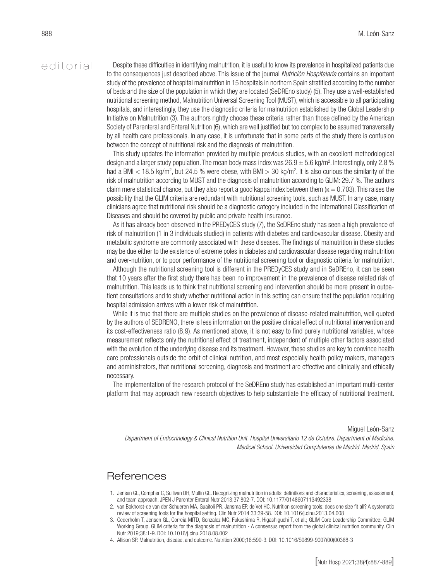$\epsilon$  ditorial Despite these difficulties in identifying malnutrition, it is useful to know its prevalence in hospitalized patients due to the consequences just described above. This issue of the journal *Nutrición Hospitalaria* contains an important study of the prevalence of hospital malnutrition in 15 hospitals in northern Spain stratified according to the number of beds and the size of the population in which they are located (SeDREno study) (5). They use a well-established nutritional screening method, Malnutrition Universal Screening Tool (MUST), which is accessible to all participating hospitals, and interestingly, they use the diagnostic criteria for malnutrition established by the Global Leadership Initiative on Malnutrition (3). The authors rightly choose these criteria rather than those defined by the American Society of Parenteral and Enteral Nutrition (6), which are well justified but too complex to be assumed transversally by all health care professionals. In any case, it is unfortunate that in some parts of the study there is confusion between the concept of nutritional risk and the diagnosis of malnutrition.

> This study updates the information provided by multiple previous studies, with an excellent methodological design and a larger study population. The mean body mass index was  $26.9 \pm 5.6$  kg/m<sup>2</sup>. Interestingly, only 2.8 % had a BMI < 18.5 kg/m<sup>2</sup>, but 24.5 % were obese, with BMI > 30 kg/m<sup>2</sup>. It is also curious the similarity of the risk of malnutrition according to MUST and the diagnosis of malnutrition according to GLIM: 29.7 %. The authors claim mere statistical chance, but they also report a good kappa index between them ( $\kappa = 0.703$ ). This raises the possibility that the GLIM criteria are redundant with nutritional screening tools, such as MUST. In any case, many clinicians agree that nutritional risk should be a diagnostic category included in the International Classification of Diseases and should be covered by public and private health insurance.

> As it has already been observed in the PREDyCES study (7), the SeDREno study has seen a high prevalence of risk of malnutrition (1 in 3 individuals studied) in patients with diabetes and cardiovascular disease. Obesity and metabolic syndrome are commonly associated with these diseases. The findings of malnutrition in these studies may be due either to the existence of extreme poles in diabetes and cardiovascular disease regarding malnutrition and over-nutrition, or to poor performance of the nutritional screening tool or diagnostic criteria for malnutrition.

> Although the nutritional screening tool is different in the PREDyCES study and in SeDREno, it can be seen that 10 years after the first study there has been no improvement in the prevalence of disease related risk of malnutrition. This leads us to think that nutritional screening and intervention should be more present in outpatient consultations and to study whether nutritional action in this setting can ensure that the population requiring hospital admission arrives with a lower risk of malnutrition.

> While it is true that there are multiple studies on the prevalence of disease-related malnutrition, well quoted by the authors of SEDRENO, there is less information on the positive clinical effect of nutritional intervention and its cost-effectiveness ratio (8,9). As mentioned above, it is not easy to find purely nutritional variables, whose measurement reflects only the nutritional effect of treatment, independent of multiple other factors associated with the evolution of the underlying disease and its treatment. However, these studies are key to convince health care professionals outside the orbit of clinical nutrition, and most especially health policy makers, managers and administrators, that nutritional screening, diagnosis and treatment are effective and clinically and ethically necessary.

> The implementation of the research protocol of the SeDREno study has established an important multi-center platform that may approach new research objectives to help substantiate the efficacy of nutritional treatment.

Miguel León-Sanz *Department of Endocrinology & Clinical Nutrition Unit. Hospital Universitario 12 de Octubre. Department of Medicine. Medical School. Universidad Complutense de Madrid. Madrid, Spain*

## References

- 1. Jensen GL, Compher C, Sullivan DH, Mullin GE. Recognizing malnutrition in adults: definitions and characteristics, screening, assessment, and team approach. JPEN J Parenter Enteral Nutr 2013;37:802-7. DOI: 10.1177/0148607113492338
- 2. van Bokhorst-de van der Schueren MA, Guaitoli PR, Jansma EP, de Vet HC. Nutrition screening tools: does one size fit all? A systematic review of screening tools for the hospital setting. Clin Nutr 2014;33:39-58. DOI: 10.1016/j.clnu.2013.04.008
- 3. Cederholm T, Jensen GL, Correia MITD, Gonzalez MC, Fukushima R, Higashiguchi T, et al.; GLIM Core Leadership Committee; GLIM Working Group. GLIM criteria for the diagnosis of malnutrition - A consensus report from the global clinical nutrition community. Clin Nutr 2019;38:1-9. DOI: 10.1016/j.clnu.2018.08.002
- 4. Allison SP. Malnutrition, disease, and outcome. Nutrition 2000;16:590-3. DOI: 10.1016/S0899-9007(00)00368-3